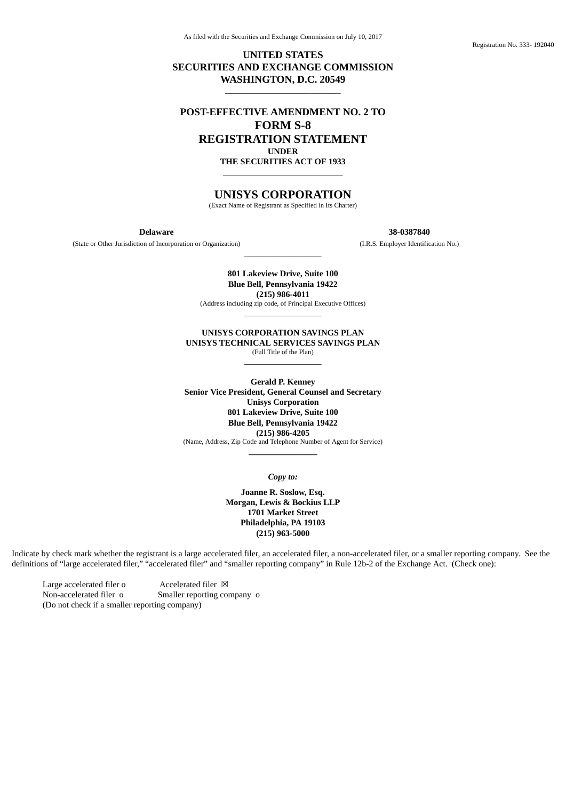Registration No. 333- 192040

## **UNITED STATES SECURITIES AND EXCHANGE COMMISSION WASHINGTON, D.C. 20549**

\_\_\_\_\_\_\_\_\_\_\_\_\_\_\_\_\_\_\_\_\_\_\_\_\_\_\_

# **POST-EFFECTIVE AMENDMENT NO. 2 TO FORM S-8 REGISTRATION STATEMENT UNDER**

**THE SECURITIES ACT OF 1933** \_\_\_\_\_\_\_\_\_\_\_\_\_\_\_\_\_\_\_\_\_\_\_\_\_\_\_\_

## **UNISYS CORPORATION**

(Exact Name of Registrant as Specified in Its Charter)

(State or Other Jurisdiction of Incorporation or Organization) (I.R.S. Employer Identification No.)

**Delaware 38-0387840**

**801 Lakeview Drive, Suite 100 Blue Bell, Pennsylvania 19422 (215) 986-4011**

\_\_\_\_\_\_\_\_\_\_\_\_\_\_\_\_\_\_

(Address including zip code, of Principal Executive Offices) \_\_\_\_\_\_\_\_\_\_\_\_\_\_\_\_\_\_

**UNISYS CORPORATION SAVINGS PLAN UNISYS TECHNICAL SERVICES SAVINGS PLAN** (Full Title of the Plan)

\_\_\_\_\_\_\_\_\_\_\_\_\_\_\_\_\_\_

**Gerald P. Kenney Senior Vice President, General Counsel and Secretary Unisys Corporation 801 Lakeview Drive, Suite 100 Blue Bell, Pennsylvania 19422 (215) 986-4205** (Name, Address, Zip Code and Telephone Number of Agent for Service) **\_\_\_\_\_\_\_\_\_\_\_\_\_\_\_\_**

*Copy to:*

**Joanne R. Soslow, Esq. Morgan, Lewis & Bockius LLP 1701 Market Street Philadelphia, PA 19103 (215) 963-5000**

Indicate by check mark whether the registrant is a large accelerated filer, an accelerated filer, a non-accelerated filer, or a smaller reporting company. See the definitions of "large accelerated filer," "accelerated filer" and "smaller reporting company" in Rule 12b-2 of the Exchange Act. (Check one):

Large accelerated filer o  $\overline{A}$  Accelerated filer  $\overline{A}$ Non-accelerated filer o Smaller reporting company o (Do not check if a smaller reporting company)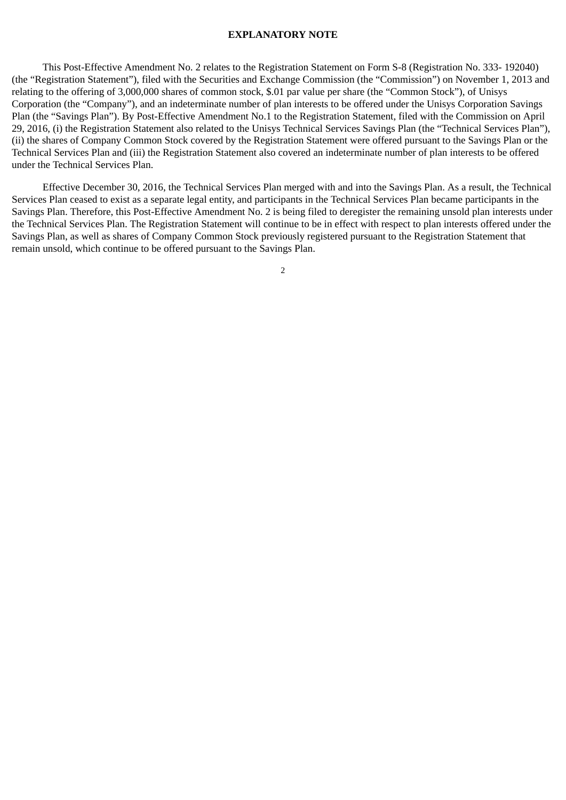#### **EXPLANATORY NOTE**

This Post-Effective Amendment No. 2 relates to the Registration Statement on Form S-8 (Registration No. 333- 192040) (the "Registration Statement"), filed with the Securities and Exchange Commission (the "Commission") on November 1, 2013 and relating to the offering of 3,000,000 shares of common stock, \$.01 par value per share (the "Common Stock"), of Unisys Corporation (the "Company"), and an indeterminate number of plan interests to be offered under the Unisys Corporation Savings Plan (the "Savings Plan"). By Post-Effective Amendment No.1 to the Registration Statement, filed with the Commission on April 29, 2016, (i) the Registration Statement also related to the Unisys Technical Services Savings Plan (the "Technical Services Plan"), (ii) the shares of Company Common Stock covered by the Registration Statement were offered pursuant to the Savings Plan or the Technical Services Plan and (iii) the Registration Statement also covered an indeterminate number of plan interests to be offered under the Technical Services Plan.

Effective December 30, 2016, the Technical Services Plan merged with and into the Savings Plan. As a result, the Technical Services Plan ceased to exist as a separate legal entity, and participants in the Technical Services Plan became participants in the Savings Plan. Therefore, this Post-Effective Amendment No. 2 is being filed to deregister the remaining unsold plan interests under the Technical Services Plan. The Registration Statement will continue to be in effect with respect to plan interests offered under the Savings Plan, as well as shares of Company Common Stock previously registered pursuant to the Registration Statement that remain unsold, which continue to be offered pursuant to the Savings Plan.

2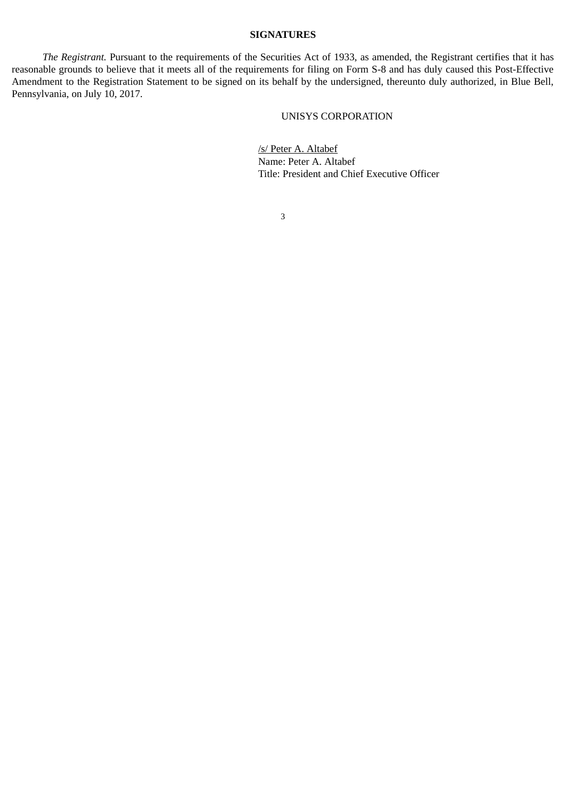### **SIGNATURES**

*The Registrant.* Pursuant to the requirements of the Securities Act of 1933, as amended, the Registrant certifies that it has reasonable grounds to believe that it meets all of the requirements for filing on Form S-8 and has duly caused this Post-Effective Amendment to the Registration Statement to be signed on its behalf by the undersigned, thereunto duly authorized, in Blue Bell, Pennsylvania, on July 10, 2017.

## UNISYS CORPORATION

/s/ Peter A. Altabef Name: Peter A. Altabef Title: President and Chief Executive Officer

3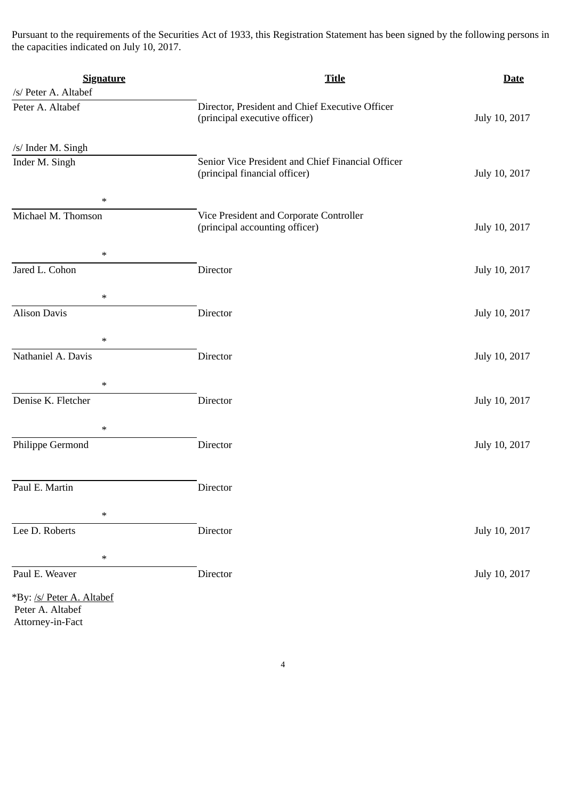Pursuant to the requirements of the Securities Act of 1933, this Registration Statement has been signed by the following persons in the capacities indicated on July 10, 2017.

| <b>Signature</b>                     | <b>Title</b>                                                                       | <b>Date</b>   |
|--------------------------------------|------------------------------------------------------------------------------------|---------------|
| /s/ Peter A. Altabef                 |                                                                                    |               |
| Peter A. Altabef                     | Director, President and Chief Executive Officer<br>(principal executive officer)   | July 10, 2017 |
| /s/ Inder M. Singh                   |                                                                                    |               |
| Inder M. Singh                       | Senior Vice President and Chief Financial Officer<br>(principal financial officer) | July 10, 2017 |
| $\ast$                               |                                                                                    |               |
| Michael M. Thomson                   | Vice President and Corporate Controller<br>(principal accounting officer)          | July 10, 2017 |
| $\ast$                               |                                                                                    |               |
| Jared L. Cohon                       | Director                                                                           | July 10, 2017 |
| $\ast$                               |                                                                                    |               |
| <b>Alison Davis</b>                  | Director                                                                           | July 10, 2017 |
| $\ast$                               |                                                                                    |               |
| Nathaniel A. Davis                   | Director                                                                           | July 10, 2017 |
| $\ast$                               |                                                                                    |               |
| Denise K. Fletcher                   | Director                                                                           | July 10, 2017 |
| $\ast$                               |                                                                                    |               |
| Philippe Germond                     | Director                                                                           | July 10, 2017 |
| Paul E. Martin                       | Director                                                                           |               |
|                                      |                                                                                    |               |
| $\ast$                               |                                                                                    |               |
| Lee D. Roberts                       | Director                                                                           | July 10, 2017 |
| $\ast$                               |                                                                                    |               |
| Paul E. Weaver                       | Director                                                                           | July 10, 2017 |
| *By: /s/ Peter A. Altabef            |                                                                                    |               |
| Peter A. Altabef<br>Attorney-in-Fact |                                                                                    |               |
|                                      |                                                                                    |               |